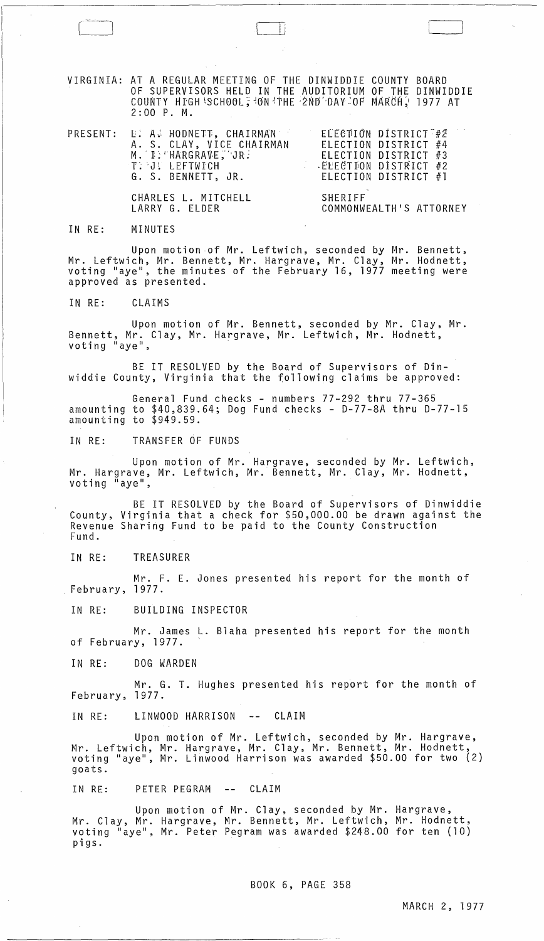VIRGINIA: AT A REGULAR MEETING OF THE DINWIDDIE COUNTY BOARD OF SUPERVISORS HELD IN THE AUDITORIUM OF THE DINWIDDIE COUNTY HIGH SCHOOL; ON THE 2ND DAY OF MARCH, 1977 AT 2: 00 P. M.

|  | PRESENT: D. A. HODNETT, CHAIRMAN<br>A. S. CLAY, VICE CHAIRMAN<br>M. I: "HARGRAVE, JR.<br>T. J. LEFTWICH<br>G. S. BENNETT, JR. | <b>ELECTION DISTRICT #2</b><br>ELECTION DISTRICT #4<br>ELECTION DISTRICT #3<br>ELECTION DISTRICT #2<br>ELECTION DISTRICT #1 |
|--|-------------------------------------------------------------------------------------------------------------------------------|-----------------------------------------------------------------------------------------------------------------------------|
|  | CHARLES L. MITCHELL<br>LARRY G. ELDER                                                                                         | SHERIFF<br>COMMONWEALTH'S ATTORNEY                                                                                          |

IN RE: MINUTES

 $\lceil -1 \rceil$ 

Upon motion of Mr. Leftwich, seconded by Mr. Bennett, Mr. Leftwich, Mr. Bennett, Mr. Hargrave, Mr. Clay, Mr. Hodnett, voting "aye", the minutes of the February 16, 1977 meeting were approved as presented.

IN RE: CLAIMS

Upon motion of Mr. Bennett, seconded by Mr. Clay, Mr. Bennett, Mr. Clay, Mr. Hargrave, Mr. Leftwich, Mr. Hodnett, voting "aye", .

BE IT RESOLVED by the Board of Supervisors of Dinwiddie County, Virginia that the following claims be approved:

General Fund checks - numbers 77-292 thru 77-365 amounting to \$40,839.64; Dog Fund checks - D-77-8A thru D-77-15 amounting to \$949.59.

IN RE: TRANSFER OF FUNDS

Upon motion of Mr. Hargrave, seconded by Mr. Leftwich, Mr. Hargrave, Mr. Leftwich, Mr. Bennett, Mr. Clay, Mr. Hodnett, voting "aye",

BE IT RESOLVED by the Board of Supervisors of Dinwiddie County, Virginia that a check for \$50,000.00 be drawn against the Revenue Sharing Fund to be paid to the County Construction Fund.

IN RE: TREASURER

Mr. F. E. Jones presented his report for the month of<br>February, 1977.

IN RE: BUILDING INSPECTOR

Mr. James L. Blaha presented his report for the month of February, 1977. .

IN RE: DOG WARDEN

Mr. G. T. Hughes presented his report for the month of February, 1977.

IN RE: LINWOOD HARRISON -- CLAIM

Upon motion of Mr. Leftwich, seconded by Mr. Hargrave, Mr. Leftwich, Mr. Hargrave, Mr. Clay, Mr. Bennett, Mr. Hodnett, voting "aye", Mr. Linwood Harrison was awarded \$50.00 for two (2) goats.

IN RE: PETER PEGRAM -- CLAIM

Upon motion of Mr. Clay, seconded by Mr. Hargrave, Mr. Clay, Mr. Hargrave, Mr. Bennett, Mr. Leftwich, Mr. Hodnett, voting "aye", Mr. Peter Pegram was awarded \$248.00 for ten (10) pigs.

BOOK 6, PAGE 358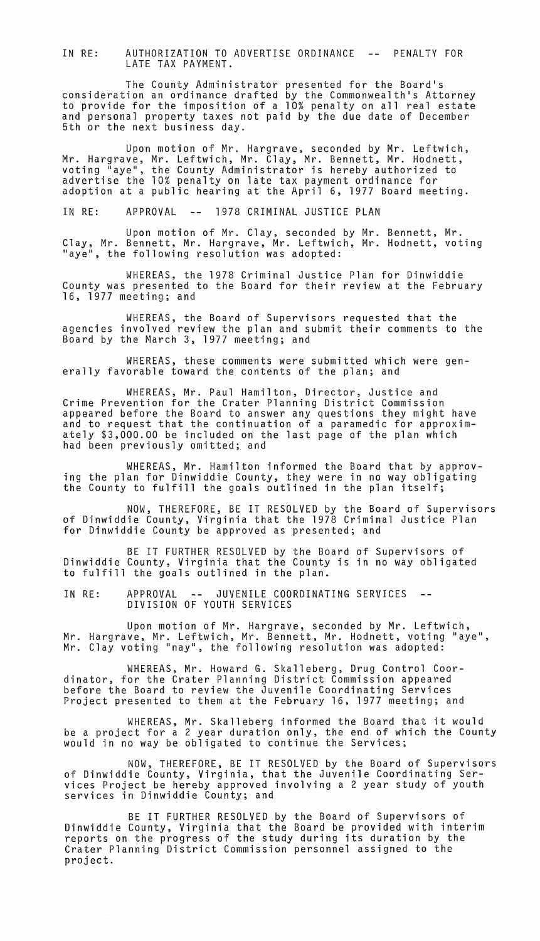IN RE: AUTHORIZATION TO ADVERTISE ORDINANCE PENALTY FOR LATE TAX PAYMENT.

The County Administrator presented for the Board's consideration an ordinance drafted by the Commonwealth's Attorney to provide for the imposition of a 10% penalty on all real estate and personal property taxes not paid by the due date of December 5th or the next business day.

Upon motion of Mr. Hargrave, seconded by Mr. Leftwich, Mr. Hargrave, Mr. Leftwich, Mr. Clay, Mr. Bennett, Mr. Hodnett, voting "aye", the County Administrator is hereby authorized to advertise the 10% penalty on late tax payment ordinance for adoption at a public hearing at the April 6, 1977 Board meeting.

IN RE: APPROVAL -- 1978 CRIMINAL JUSTICE PLAN

Upon motion of Mr. Clay, seconded by Mr. Bennett, Mr. Clay, Mr. Bennett, Mr. Hargrave, Mr. Leftwich, Mr. Hodnett, voting "aye", the following resolution was adopted:

WHEREAS, the 1978 Criminal Justice Plan for Dinwiddie County was presented to the Board for their review at the February 16, 1977 meeting; and

WHEREAS, the Board of Supervisors requested that the agencies involved review the plan and submit their comments to the Board by the March 3, 1977 meeting; and

WHEREAS, these comments were submitted which were gen- erally favorable toward the contents of the plan; and

WHEREAS, Mr. Paul Hamilton, Director, Justice and Crime Prevention for the Crater Planning District Commission appeared before the Board to answer any questions they might have and to request that the continuation of a paramedic for approximately \$3,000.00 be included on the last page of the plan which had been previously omitted; and

WHEREAS, Mr. Hamilton informed the Board that by approving the plan for Dinwiddie County, they were in no way obligating the County to fulfill the goals outlined in the plan itself;

NOW, THEREFORE, BE IT RESOLVED by the Board of Supervisors of Dinwiddie County, Virginia that the 1978 Criminal Justice Plan for Dinwiddie County be approved as presented; and

BE IT FURTHER RESOLVED by the Board of Supervisors of Dinwiddie County, Virginia that the County is in no way obligated to fulfill the goals outlined in the plan.

IN RE: APPROVAL -- JUVENILE COORDINATING SERVICES --DIVISION OF YOUTH SERVICES

Upon motion of Mr. Hargrave, seconded by Mr. Leftwich, Mr. Hargrave, Mr. Leftwich, Mr. Bennett, Mr. Hodnett, voting "aye", Mr. Clay voting "nay", the following resolution was adopted:

WHEREAS, Mr. Howard G. Skalleberg, Drug Control Coordinator, for the Crater Planning District Commission appeared before the Board to review the Juvenile Coordinating Services Project presented to them at the February 16, 1977 meeting; and

WHEREAS, Mr. Skalleberg informed the Board that it would be a project for a 2 year duration only, the end of which the County would in no way be obligated to continue the Services;

NOW, THEREFORE, BE IT RESOLVED by the Board of Supervisors of Dinwiddie County, Virginia, that the Juvenile Coordinating Services Project be hereby approved involving a 2 year study of youth services in Dinwiddie County; and

BE IT FURTHER RESOLVED by the Board of Supervisors of Dinwiddie County, Virginia that the Board be provided with interim reports on the progress of the study during its duration by the Crater Planning District Commission personnel assigned to the project.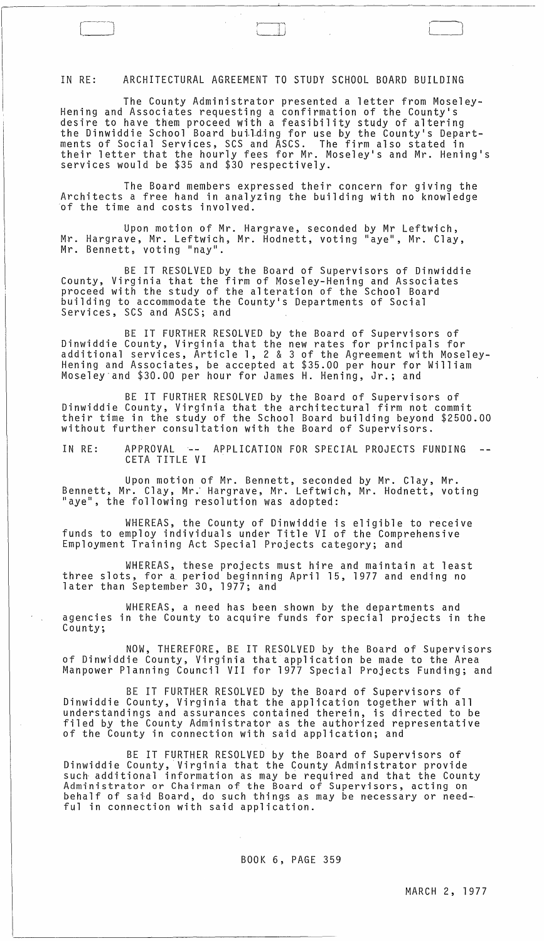## IN RE: ARCHITECTURAL AGREEMENT TO STUDY SCHOOL BOARD BUILDING

The County Administrator presented a letter from Moseley-Hening and Associates requesting a confirmation of the County's desire to have them proceed with a feasibility study of altering the Dinwiddie School Board building for use by the County's Departments of Social Services, SCS and ASCS. The firm also stated in their letter that the hourly fees for Mr. Moseley's and Mr. Hening's services would be \$35 and \$30 respectively.

 $\Box$ 

The Board members expressed their concern for giving the Architects a free hand in analyzing the building with no knowledge of the time and costs involved.

Upon motion of Mr. Hargrave, seconded by Mr Leftwich, Mr. Hargrave, Mr. Leftwich, Mr. Hodnett, voting "aye", Mr. Clay,<br>Mr. Bennett, voting "nay".

BE IT RESOLVED by the Board of Supervisors of Dinwiddie County, Virginia that the firm of Moseley-Hening and Associates proceed with the study of the alteration of the School Board building to accommodate the County's Departments of Social Services, SCS and ASCS; and

BE IT FURTHER RESOLVED by the Board of Supervisors of Dinwiddie County, Virginia that the new rates for principals for additional services, Article 1, 2 & 3 of the Agreement with Moseley-Hening and Associates, be accepted at \$35.00 per hour for William Moseley and \$30.00 per hour for James H. Hening, Jr.; and

BE IT FURTHER RESOLVED by the Board of Supervisors of Dinwiddie County, Virginia that the architectural firm not commit their time in the study of the School Board building beyond \$2500.00 without further consultation with the Board of Supervisors.

IN RE: APPROVAL -- APPLICATION FOR SPECIAL PROJECTS FUNDING CETA TITLE VI

Upon motion of Mr. Bennett, seconded by Mr. Clay, Mr. Bennett, Mr. Clay, Mr. Hargrave, Mr. Leftwich, Mr. Hodnett, voting "aye", the following resolution was adopted:

WHEREAS, the County of Dinwiddie is eligible to receive funds to employ individuals under Title VI of the Comprehensive Employment Training Act Special Projects category; and

WHEREAS, these projects must hire and maintain at least three slots, for a period beginning April 15, 1977 and ending no later than September 30, 1977; and

WHEREAS, a need has been shown by the departments and agencies in the County to acquire funds for special projects in the County;

NOW, THEREFORE, BE IT RESOLVED by the Board of Supervisors of Dinwiddie County, Virginia that application be made to the Area Manpower Planning Council VII for 1977 Special Projects Funding; and

BE IT FURTHER RESOLVED by the Board of Supervisors of Dinwiddie County, Virginia that the application together with all understandings and assurances contained therein, is directed to be filed by the County Administrator as the authorized representative of the County in connection with said application; and

BE IT FURTHER RESOLVED by the Board of Supervisors of Dinwiddie County, Virginia that the County Administrator provide<br>such additional information as may be required and that the County Administrator or Chairman of the Board of Supervisors, acting on behalf of said Board, do such things as may be necessary or needful in connection with said application.

 $\sim$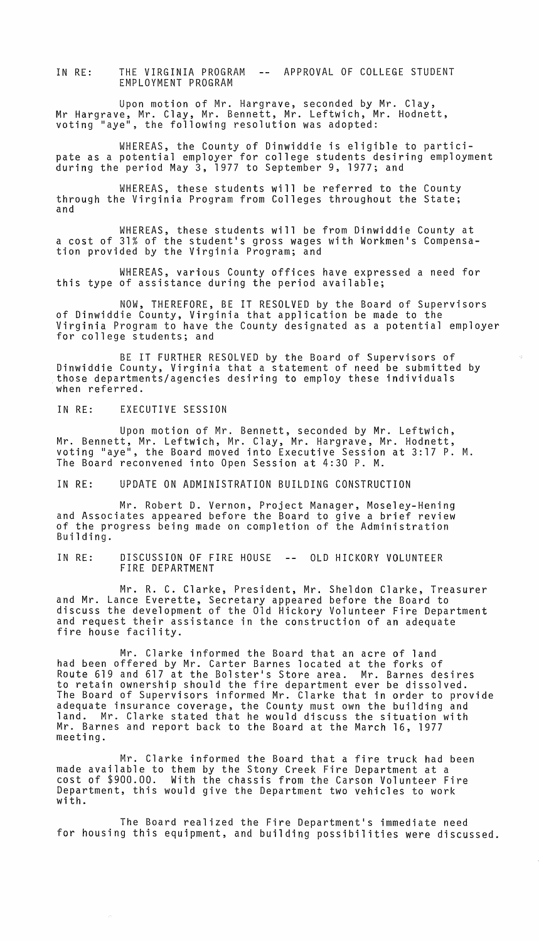IN RE: THE VIRGINIA PROGRAM APPROVAL OF COLLEGE STUDENT EMPLOYMENT PROGRAM

Upon motion of Mr. Hargrave, seconded by Mr. Clay, Mr Hargrave, Mr. Clay, Mr. Bennett, Mr. Leftwich, Mr. Hodnett, voting "aye", the following resolution was adopted:

WHEREAS, the County of Dinwiddie is eligible to participate as a potential employer for college students desiring employment during the period May 3, 1977 to September 9, 1977; and

WHEREAS, these students will be referred to the County through the Virginia Program from Colleges throughout the State; and

WHEREAS, these students will be from Dinwiddie County at a cost of 31% of the student's gross wages with Workmen's Compensa- tion provided by the Virginia Program; and

WHEREAS, various County offices have expressed a need for this type of assistance during the period available;

NOW, THEREFORE, BE IT RESOLVED by the Board of Supervisors of Dinwiddie County, Virginia that application be made to the Virginia Program to have the County designated as a potential employer for college students; and

BE IT FURTHER RESOLVED by the Board of Supervisors of Dinwiddie County, Virginia that a statement of need be submitted by those departments/agencies desiring to employ these individuals when referred.

IN RE: EXECUTIVE SESSION

Upon motion of Mr. Bennett, seconded by Mr. Leftwich, Mr. Bennett, Mr. Leftwich, Mr. Clay, Mr. Hargrave, Mr. Hodnett, voting "aye", the Board moved into Executive Session at 3:17 P. M. The Board reconvened into Open Session at 4:30 P. M.

IN RE: UPDATE ON ADMINISTRATION BUILDING CONSTRUCTION

Mr. Robert D. Vernon, Project Manager, Moseley-Hening and Associates appeared before the Board to give a brief review of the progress being made on completion of the Administration Building.

IN RE: DISCUSSION OF FIRE HOUSE OLD HICKORY VOLUNTEER FIRE DEPARTMENT

Mr. R. C. Clarke, President, Mr. Sheldon Clarke, Treasurer and Mr. Lance Everette, Secretary appeared before the Board to discuss the development of the Old Hickory Volunteer Fire Department and request their assistance in the construction of an adequate fire house facility.

Mr. Clarke informed the Board that an acre of land had been offered by Mr. Carter Barnes located at the forks of Route 619 and 617 at the Bolster's Store area. Mr. Barnes desires to retain ownership should the fire department ever be dissolved. The Board of Supervisors informed Mr. Clarke that in order to provide adequate insurance coverage, the County must own the building and land. Mr. Clarke stated that he would discuss the situation with Mr. Barnes and report back to the Board at the March 16, 1977 meeting.

Mr. Clarke informed the Board that a fire truck had been made available to them by the Stony Creek Fire Department at a cost of \$900.00. With the chassis from the Carson Volunteer Fire Department, this would give the Department two vehicles to work with.

The Board realized the Fire Department's immediate need for housing this equipment, and building possibilities were discussed.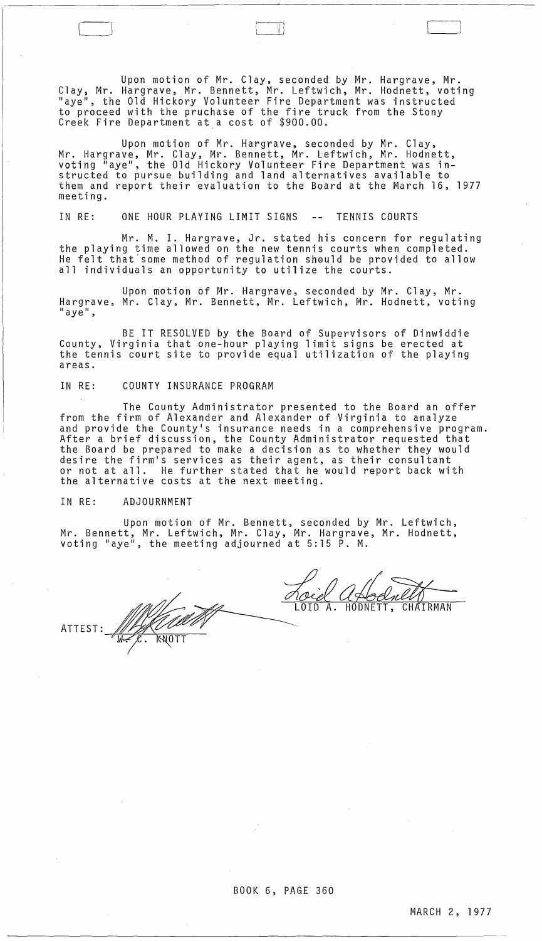Upon motion of Mr. Clay, seconded by Mr. Hargrave, Mr. Clay, Mr. Hargrave, Mr. Bennett, Mr. Leftwich, Mr. Hodnett, voting "aye", the Old Hickory Volunteer Fire Department was instructed to proceed with the pruchase of the fire truck from the Stony Creek Fire Department ata cost of \$900.00.

Upon motion of Mr. Hargrave, seconded by Mr. Clay, Mr. Hargrave, Mr. Clay, Mr. Bennett, Mr. Leftwich, Mr. Hodnett, voting "aye", the Old Hickory Volunteer Fire Department was instructed to pursue building and land alternatives available to them and report their evaluation to the Board at the March 16, 1977 meeting.

IN RE: ONE HOUR PLAYING LIMIT SIGNS -- TENNIS COURTS

Mr. M. I. Hargrave, Jr. stated his concern for regulating the playing time allowed on the new tennis courts when completed. He felt that'some method of regulation should be provided to allow all individuals an opportunity to utilize the courts.

Upon motion of Mr. Hargrave, seconded by Mr. Clay, Mr. Hargrave, Mr. Clay, Mr. Bennett, Mr. Leftwich, Mr. Hodnett, voting<br>"aye",

BE IT RESOLVED by the Board of Supervisors of Dinwiddie County, Virginia that one-hour playing limit signs be erected at the tennis court site to provide equal utilization of the playing areas.

## IN RE: COUNTY INSURANCE PROGRAM

The County Administrator presented to the Board an offer from the firm of Alexander and Alexander of -Virginia to analyze and provide the County's insurance needs in a comprehensive program. After a brief discussion, the County Administrator requested that the Board be prepared to make a decision as to whether they would desire the firm's services as their agent, as their consultant or not at all. He further stated that he would report back with the alternative costs at the next meeting.

## IN RE: ADJOURNMENT

Upon motion of Mr. Bennett, seconded by Mr. Leftwich, Mr. Bennett, Mr. Leftwich, Mr. Clay, Mr. Hargrave, Mr. Hodnett, voting "aye", the meeting adjourned at 5:15 P. M.

Noiel afbandt

ATTEST: ~~~~~~=---

BOOK 6, PAGE 360